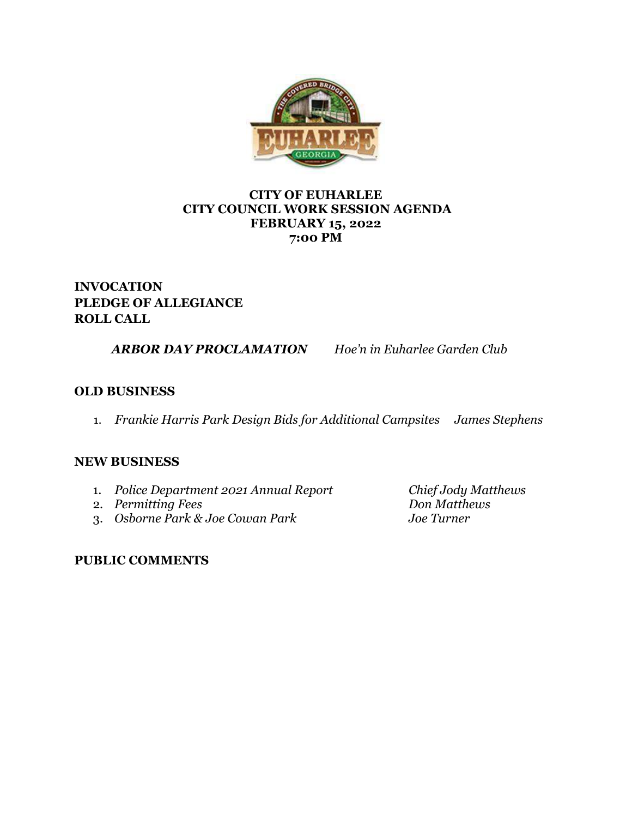

### **CITY OF EUHARLEE CITY COUNCIL WORK SESSION AGENDA FEBRUARY 15, 2022 7:00 PM**

# **INVOCATION PLEDGE OF ALLEGIANCE ROLL CALL**

*ARBOR DAY PROCLAMATION Hoe'n in Euharlee Garden Club*

## **OLD BUSINESS**

1. *Frankie Harris Park Design Bids for Additional Campsites James Stephens*

## **NEW BUSINESS**

- 1. *Police Department 2021 Annual Report Chief Jody Matthews*
- 
- 2. *Permitting Fees Don Matthe*<br>
3. *Osborne Park & Joe Cowan Park Joe Turner* 3. *Osborne Park & Joe Cowan Park Joe Turner*

## **PUBLIC COMMENTS**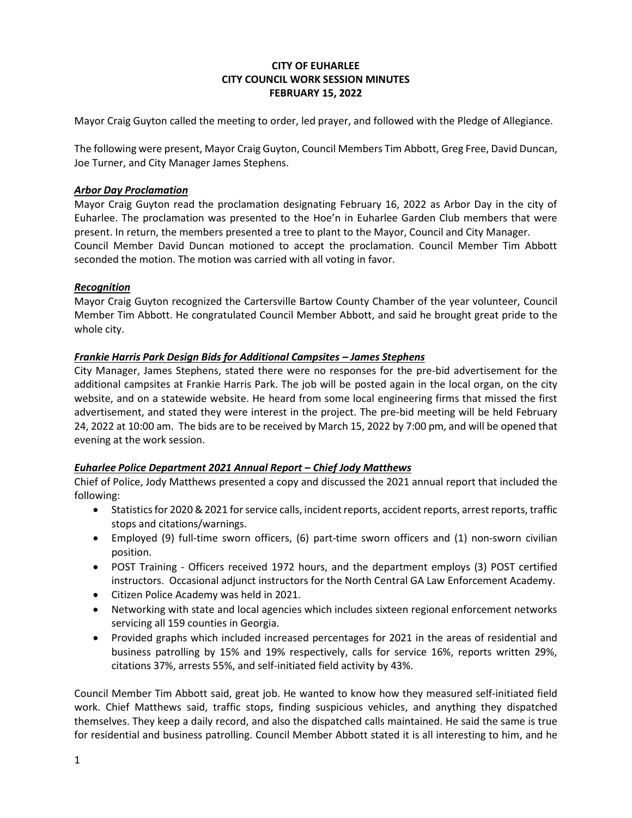#### **CITY OF EUHARLEE CITY COUNCIL WORK SESSION MINUTES FEBRUARY 15, 2022**

Mayor Craig Guyton called the meeting to order, led prayer, and followed with the Pledge of Allegiance.

The following were present, Mayor Craig Guyton, Council Members Tim Abbott, Greg Free, David Duncan, Joe Turner, and City Manager James Stephens.

#### *Arbor Day Proclamation*

Mayor Craig Guyton read the proclamation designating February 16, 2022 as Arbor Day in the city of Euharlee. The proclamation was presented to the Hoe'n in Euharlee Garden Club members that were present. In return, the members presented a tree to plant to the Mayor, Council and City Manager. Council Member David Duncan motioned to accept the proclamation. Council Member Tim Abbott seconded the motion. The motion was carried with all voting in favor.

#### *Recognition*

Mayor Craig Guyton recognized the Cartersville Bartow County Chamber of the year volunteer, Council Member Tim Abbott. He congratulated Council Member Abbott, and said he brought great pride to the whole city.

#### *Frankie Harris Park Design Bids for Additional Campsites – James Stephens*

City Manager, James Stephens, stated there were no responses for the pre-bid advertisement for the additional campsites at Frankie Harris Park. The job will be posted again in the local organ, on the city website, and on a statewide website. He heard from some local engineering firms that missed the first advertisement, and stated they were interest in the project. The pre-bid meeting will be held February 24, 2022 at 10:00 am. The bids are to be received by March 15, 2022 by 7:00 pm, and will be opened that evening at the work session.

#### *Euharlee Police Department 2021 Annual Report – Chief Jody Matthews*

Chief of Police, Jody Matthews presented a copy and discussed the 2021 annual report that included the following:

- Statistics for 2020 & 2021 for service calls, incident reports, accident reports, arrest reports, traffic stops and citations/warnings.
- Employed (9) full-time sworn officers, (6) part-time sworn officers and (1) non-sworn civilian position.
- POST Training Officers received 1972 hours, and the department employs (3) POST certified instructors. Occasional adjunct instructors for the North Central GA Law Enforcement Academy.
- Citizen Police Academy was held in 2021.
- Networking with state and local agencies which includes sixteen regional enforcement networks servicing all 159 counties in Georgia.
- Provided graphs which included increased percentages for 2021 in the areas of residential and business patrolling by 15% and 19% respectively, calls for service 16%, reports written 29%, citations 37%, arrests 55%, and self-initiated field activity by 43%.

Council Member Tim Abbott said, great job. He wanted to know how they measured self-initiated field work. Chief Matthews said, traffic stops, finding suspicious vehicles, and anything they dispatched themselves. They keep a daily record, and also the dispatched calls maintained. He said the same is true for residential and business patrolling. Council Member Abbott stated it is all interesting to him, and he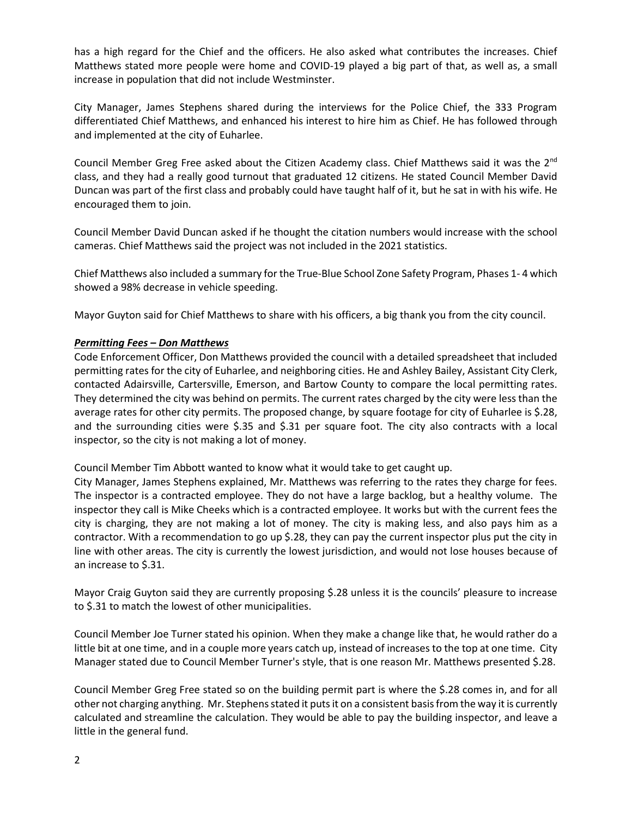has a high regard for the Chief and the officers. He also asked what contributes the increases. Chief Matthews stated more people were home and COVID-19 played a big part of that, as well as, a small increase in population that did not include Westminster.

City Manager, James Stephens shared during the interviews for the Police Chief, the 333 Program differentiated Chief Matthews, and enhanced his interest to hire him as Chief. He has followed through and implemented at the city of Euharlee.

Council Member Greg Free asked about the Citizen Academy class. Chief Matthews said it was the 2<sup>nd</sup> class, and they had a really good turnout that graduated 12 citizens. He stated Council Member David Duncan was part of the first class and probably could have taught half of it, but he sat in with his wife. He encouraged them to join.

Council Member David Duncan asked if he thought the citation numbers would increase with the school cameras. Chief Matthews said the project was not included in the 2021 statistics.

Chief Matthews also included a summary for the True-Blue School Zone Safety Program, Phases 1- 4 which showed a 98% decrease in vehicle speeding.

Mayor Guyton said for Chief Matthews to share with his officers, a big thank you from the city council.

#### *Permitting Fees – Don Matthews*

Code Enforcement Officer, Don Matthews provided the council with a detailed spreadsheet that included permitting rates for the city of Euharlee, and neighboring cities. He and Ashley Bailey, Assistant City Clerk, contacted Adairsville, Cartersville, Emerson, and Bartow County to compare the local permitting rates. They determined the city was behind on permits. The current rates charged by the city were less than the average rates for other city permits. The proposed change, by square footage for city of Euharlee is \$.28, and the surrounding cities were \$.35 and \$.31 per square foot. The city also contracts with a local inspector, so the city is not making a lot of money.

Council Member Tim Abbott wanted to know what it would take to get caught up.

City Manager, James Stephens explained, Mr. Matthews was referring to the rates they charge for fees. The inspector is a contracted employee. They do not have a large backlog, but a healthy volume. The inspector they call is Mike Cheeks which is a contracted employee. It works but with the current fees the city is charging, they are not making a lot of money. The city is making less, and also pays him as a contractor. With a recommendation to go up \$.28, they can pay the current inspector plus put the city in line with other areas. The city is currently the lowest jurisdiction, and would not lose houses because of an increase to \$.31.

Mayor Craig Guyton said they are currently proposing \$.28 unless it is the councils' pleasure to increase to \$.31 to match the lowest of other municipalities.

Council Member Joe Turner stated his opinion. When they make a change like that, he would rather do a little bit at one time, and in a couple more years catch up, instead of increases to the top at one time. City Manager stated due to Council Member Turner's style, that is one reason Mr. Matthews presented \$.28.

Council Member Greg Free stated so on the building permit part is where the \$.28 comes in, and for all other not charging anything. Mr. Stephens stated it puts it on a consistent basis from the way it is currently calculated and streamline the calculation. They would be able to pay the building inspector, and leave a little in the general fund.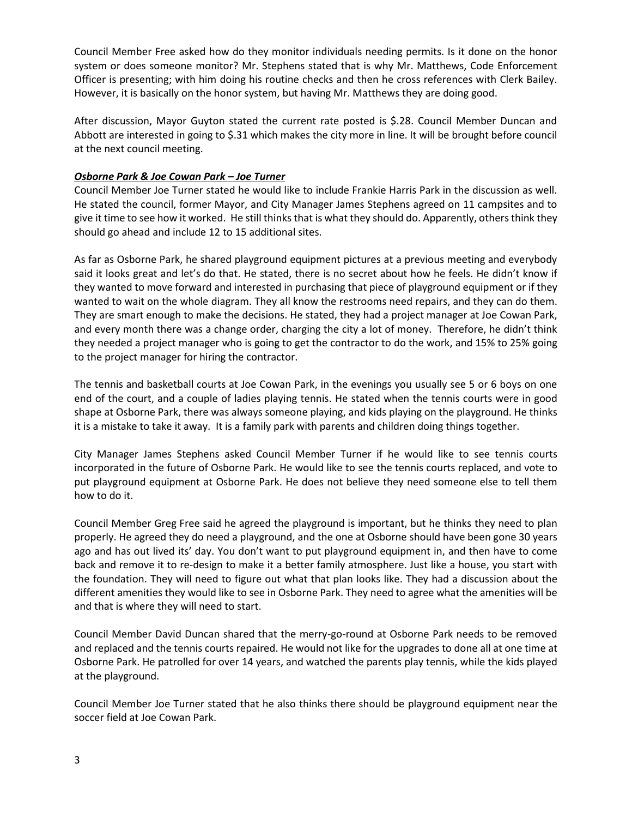Council Member Free asked how do they monitor individuals needing permits. Is it done on the honor system or does someone monitor? Mr. Stephens stated that is why Mr. Matthews, Code Enforcement Officer is presenting; with him doing his routine checks and then he cross references with Clerk Bailey. However, it is basically on the honor system, but having Mr. Matthews they are doing good.

After discussion, Mayor Guyton stated the current rate posted is \$.28. Council Member Duncan and Abbott are interested in going to \$.31 which makes the city more in line. It will be brought before council at the next council meeting.

#### *Osborne Park & Joe Cowan Park – Joe Turner*

Council Member Joe Turner stated he would like to include Frankie Harris Park in the discussion as well. He stated the council, former Mayor, and City Manager James Stephens agreed on 11 campsites and to give it time to see how it worked. He still thinks that is what they should do. Apparently, others think they should go ahead and include 12 to 15 additional sites.

As far as Osborne Park, he shared playground equipment pictures at a previous meeting and everybody said it looks great and let's do that. He stated, there is no secret about how he feels. He didn't know if they wanted to move forward and interested in purchasing that piece of playground equipment or if they wanted to wait on the whole diagram. They all know the restrooms need repairs, and they can do them. They are smart enough to make the decisions. He stated, they had a project manager at Joe Cowan Park, and every month there was a change order, charging the city a lot of money. Therefore, he didn't think they needed a project manager who is going to get the contractor to do the work, and 15% to 25% going to the project manager for hiring the contractor.

The tennis and basketball courts at Joe Cowan Park, in the evenings you usually see 5 or 6 boys on one end of the court, and a couple of ladies playing tennis. He stated when the tennis courts were in good shape at Osborne Park, there was always someone playing, and kids playing on the playground. He thinks it is a mistake to take it away. It is a family park with parents and children doing things together.

City Manager James Stephens asked Council Member Turner if he would like to see tennis courts incorporated in the future of Osborne Park. He would like to see the tennis courts replaced, and vote to put playground equipment at Osborne Park. He does not believe they need someone else to tell them how to do it.

Council Member Greg Free said he agreed the playground is important, but he thinks they need to plan properly. He agreed they do need a playground, and the one at Osborne should have been gone 30 years ago and has out lived its' day. You don't want to put playground equipment in, and then have to come back and remove it to re-design to make it a better family atmosphere. Just like a house, you start with the foundation. They will need to figure out what that plan looks like. They had a discussion about the different amenities they would like to see in Osborne Park. They need to agree what the amenities will be and that is where they will need to start.

Council Member David Duncan shared that the merry-go-round at Osborne Park needs to be removed and replaced and the tennis courts repaired. He would not like for the upgrades to done all at one time at Osborne Park. He patrolled for over 14 years, and watched the parents play tennis, while the kids played at the playground.

Council Member Joe Turner stated that he also thinks there should be playground equipment near the soccer field at Joe Cowan Park.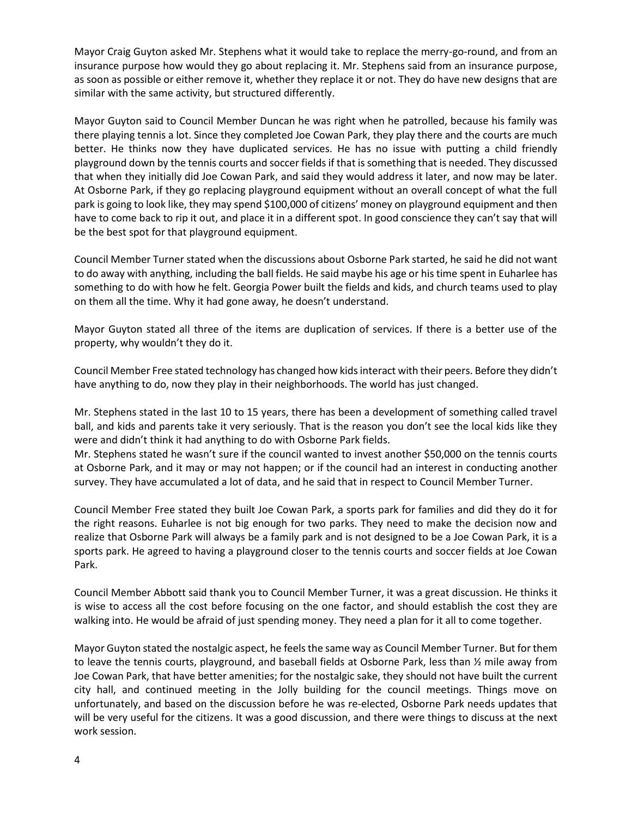Mayor Craig Guyton asked Mr. Stephens what it would take to replace the merry-go-round, and from an insurance purpose how would they go about replacing it. Mr. Stephens said from an insurance purpose, as soon as possible or either remove it, whether they replace it or not. They do have new designs that are similar with the same activity, but structured differently.

Mayor Guyton said to Council Member Duncan he was right when he patrolled, because his family was there playing tennis a lot. Since they completed Joe Cowan Park, they play there and the courts are much better. He thinks now they have duplicated services. He has no issue with putting a child friendly playground down by the tennis courts and soccer fields if that is something that is needed. They discussed that when they initially did Joe Cowan Park, and said they would address it later, and now may be later. At Osborne Park, if they go replacing playground equipment without an overall concept of what the full park is going to look like, they may spend \$100,000 of citizens' money on playground equipment and then have to come back to rip it out, and place it in a different spot. In good conscience they can't say that will be the best spot for that playground equipment.

Council Member Turner stated when the discussions about Osborne Park started, he said he did not want to do away with anything, including the ball fields. He said maybe his age or his time spent in Euharlee has something to do with how he felt. Georgia Power built the fields and kids, and church teams used to play on them all the time. Why it had gone away, he doesn't understand.

Mayor Guyton stated all three of the items are duplication of services. If there is a better use of the property, why wouldn't they do it.

Council Member Free stated technology has changed how kids interact with their peers. Before they didn't have anything to do, now they play in their neighborhoods. The world has just changed.

Mr. Stephens stated in the last 10 to 15 years, there has been a development of something called travel ball, and kids and parents take it very seriously. That is the reason you don't see the local kids like they were and didn't think it had anything to do with Osborne Park fields.

Mr. Stephens stated he wasn't sure if the council wanted to invest another \$50,000 on the tennis courts at Osborne Park, and it may or may not happen; or if the council had an interest in conducting another survey. They have accumulated a lot of data, and he said that in respect to Council Member Turner.

Council Member Free stated they built Joe Cowan Park, a sports park for families and did they do it for the right reasons. Euharlee is not big enough for two parks. They need to make the decision now and realize that Osborne Park will always be a family park and is not designed to be a Joe Cowan Park, it is a sports park. He agreed to having a playground closer to the tennis courts and soccer fields at Joe Cowan Park.

Council Member Abbott said thank you to Council Member Turner, it was a great discussion. He thinks it is wise to access all the cost before focusing on the one factor, and should establish the cost they are walking into. He would be afraid of just spending money. They need a plan for it all to come together.

Mayor Guyton stated the nostalgic aspect, he feels the same way as Council Member Turner. But for them to leave the tennis courts, playground, and baseball fields at Osborne Park, less than ½ mile away from Joe Cowan Park, that have better amenities; for the nostalgic sake, they should not have built the current city hall, and continued meeting in the Jolly building for the council meetings. Things move on unfortunately, and based on the discussion before he was re-elected, Osborne Park needs updates that will be very useful for the citizens. It was a good discussion, and there were things to discuss at the next work session.